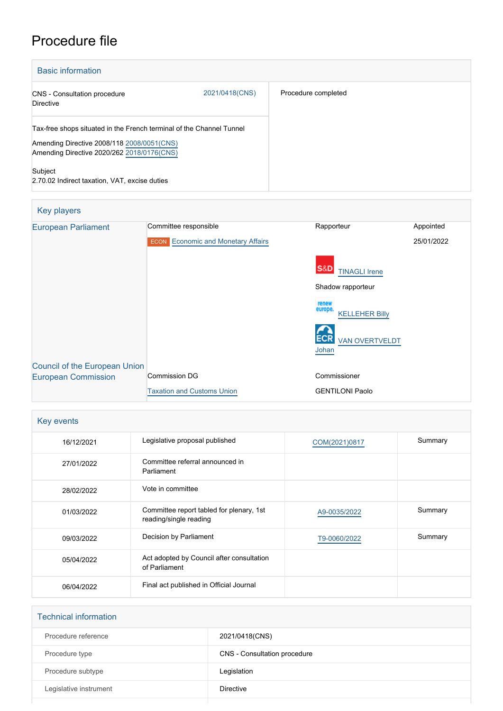# Procedure file

| <b>Basic information</b>                                                                                           |                |                     |
|--------------------------------------------------------------------------------------------------------------------|----------------|---------------------|
| <b>CNS</b> - Consultation procedure<br><b>Directive</b>                                                            | 2021/0418(CNS) | Procedure completed |
| Tax-free shops situated in the French terminal of the Channel Tunnel<br>Amending Directive 2008/118 2008/0051(CNS) |                |                     |
| Amending Directive 2020/262 2018/0176(CNS)                                                                         |                |                     |
| Subject<br>2.70.02 Indirect taxation, VAT, excise duties                                                           |                |                     |

| <b>Key players</b>                   |                                           |                                           |            |
|--------------------------------------|-------------------------------------------|-------------------------------------------|------------|
| <b>European Parliament</b>           | Committee responsible                     | Rapporteur                                | Appointed  |
|                                      | <b>ECON</b> Economic and Monetary Affairs |                                           | 25/01/2022 |
|                                      |                                           | <b>S&amp;D</b><br><b>TINAGLI Irene</b>    |            |
|                                      |                                           | Shadow rapporteur                         |            |
|                                      |                                           | renew<br>europe.<br><b>KELLEHER Billy</b> |            |
|                                      |                                           | <b>VAN OVERTVELDT</b><br>Johan            |            |
| <b>Council of the European Union</b> |                                           |                                           |            |
| <b>European Commission</b>           | Commission DG                             | Commissioner                              |            |
|                                      | <b>Taxation and Customs Union</b>         | <b>GENTILONI Paolo</b>                    |            |

| Key events |                                                                    |               |         |
|------------|--------------------------------------------------------------------|---------------|---------|
| 16/12/2021 | Legislative proposal published                                     | COM(2021)0817 | Summary |
| 27/01/2022 | Committee referral announced in<br>Parliament                      |               |         |
| 28/02/2022 | Vote in committee                                                  |               |         |
| 01/03/2022 | Committee report tabled for plenary, 1st<br>reading/single reading | A9-0035/2022  | Summary |
| 09/03/2022 | Decision by Parliament                                             | T9-0060/2022  | Summary |
| 05/04/2022 | Act adopted by Council after consultation<br>of Parliament         |               |         |
| 06/04/2022 | Final act published in Official Journal                            |               |         |

| <b>Technical information</b> |                              |
|------------------------------|------------------------------|
| Procedure reference          | 2021/0418(CNS)               |
| Procedure type               | CNS - Consultation procedure |
| Procedure subtype            | Legislation                  |
| Legislative instrument       | <b>Directive</b>             |
|                              |                              |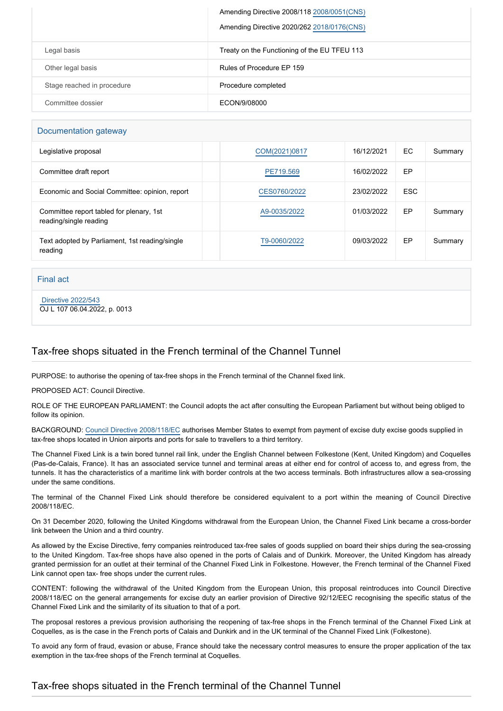|                            | Amending Directive 2008/118 2008/0051(CNS)   |  |
|----------------------------|----------------------------------------------|--|
|                            | Amending Directive 2020/262 2018/0176(CNS)   |  |
| Legal basis                | Treaty on the Functioning of the EU TFEU 113 |  |
| Other legal basis          | Rules of Procedure EP 159                    |  |
| Stage reached in procedure | Procedure completed                          |  |
| Committee dossier          | ECON/9/08000                                 |  |

#### Documentation gateway

| Legislative proposal                                               | COM(2021)0817 | 16/12/2021 | EC         | Summary |
|--------------------------------------------------------------------|---------------|------------|------------|---------|
| Committee draft report                                             | PE719.569     | 16/02/2022 | EP         |         |
| Economic and Social Committee: opinion, report                     | CES0760/2022  | 23/02/2022 | <b>ESC</b> |         |
| Committee report tabled for plenary, 1st<br>reading/single reading | A9-0035/2022  | 01/03/2022 | EP         | Summary |
| Text adopted by Parliament, 1st reading/single<br>reading          | T9-0060/2022  | 09/03/2022 | EP         | Summary |

Final act

 [Directive 2022/543](https://eur-lex.europa.eu/smartapi/cgi/sga_doc?smartapi!celexplus!prod!CELEXnumdoc&lg=EN&numdoc=32022L0543) OJ L 107 06.04.2022, p. 0013

### Tax-free shops situated in the French terminal of the Channel Tunnel

PURPOSE: to authorise the opening of tax-free shops in the French terminal of the Channel fixed link.

PROPOSED ACT: Council Directive.

ROLE OF THE EUROPEAN PARLIAMENT: the Council adopts the act after consulting the European Parliament but without being obliged to follow its opinion.

BACKGROUND: [Council Directive 2008/118/EC](https://eur-lex.europa.eu/legal-content/EN/TXT/?uri=CELEX%3A32008L0118&qid=1640020026803) authorises Member States to exempt from payment of excise duty excise goods supplied in tax-free shops located in Union airports and ports for sale to travellers to a third territory.

The Channel Fixed Link is a twin bored tunnel rail link, under the English Channel between Folkestone (Kent, United Kingdom) and Coquelles (Pas-de-Calais, France). It has an associated service tunnel and terminal areas at either end for control of access to, and egress from, the tunnels. It has the characteristics of a maritime link with border controls at the two access terminals. Both infrastructures allow a sea-crossing under the same conditions.

The terminal of the Channel Fixed Link should therefore be considered equivalent to a port within the meaning of Council Directive 2008/118/EC.

On 31 December 2020, following the United Kingdoms withdrawal from the European Union, the Channel Fixed Link became a cross-border link between the Union and a third country.

As allowed by the Excise Directive, ferry companies reintroduced tax-free sales of goods supplied on board their ships during the sea-crossing to the United Kingdom. Tax-free shops have also opened in the ports of Calais and of Dunkirk. Moreover, the United Kingdom has already granted permission for an outlet at their terminal of the Channel Fixed Link in Folkestone. However, the French terminal of the Channel Fixed Link cannot open tax- free shops under the current rules.

CONTENT: following the withdrawal of the United Kingdom from the European Union, this proposal reintroduces into Council Directive 2008/118/EC on the general arrangements for excise duty an earlier provision of Directive 92/12/EEC recognising the specific status of the Channel Fixed Link and the similarity of its situation to that of a port.

The proposal restores a previous provision authorising the reopening of tax-free shops in the French terminal of the Channel Fixed Link at Coquelles, as is the case in the French ports of Calais and Dunkirk and in the UK terminal of the Channel Fixed Link (Folkestone).

To avoid any form of fraud, evasion or abuse, France should take the necessary control measures to ensure the proper application of the tax exemption in the tax-free shops of the French terminal at Coquelles.

### Tax-free shops situated in the French terminal of the Channel Tunnel